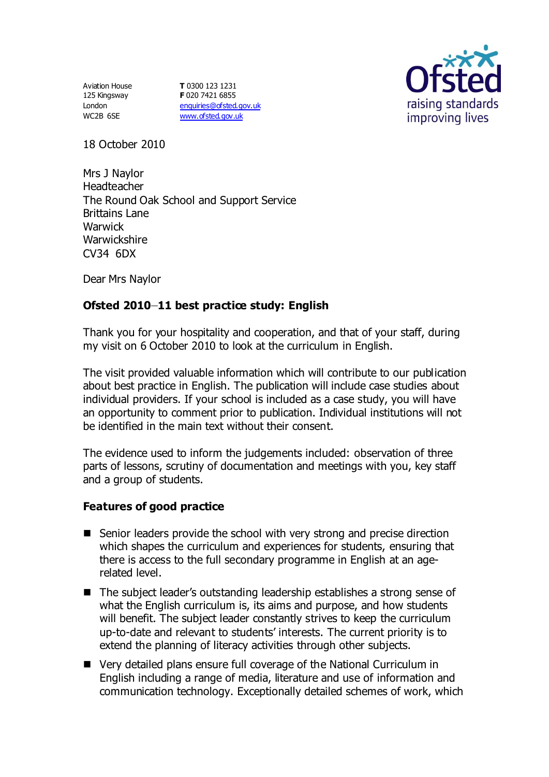Aviation House 125 Kingsway London WC2B 6SE

**T** 0300 123 1231 **F** 020 7421 6855 [enquiries@ofsted.gov.uk](mailto:enquiries@ofsted.gov.uk) [www.ofsted.gov.uk](http://www.ofsted.gov.uk/)



18 October 2010

Mrs J Naylor Headteacher The Round Oak School and Support Service Brittains Lane **Warwick Warwickshire** CV34 6DX

Dear Mrs Naylor

## **Ofsted 2010 11 best practice study: English**

Thank you for your hospitality and cooperation, and that of your staff, during my visit on 6 October 2010 to look at the curriculum in English.

The visit provided valuable information which will contribute to our publication about best practice in English. The publication will include case studies about individual providers. If your school is included as a case study, you will have an opportunity to comment prior to publication. Individual institutions will not be identified in the main text without their consent.

The evidence used to inform the judgements included: observation of three parts of lessons, scrutiny of documentation and meetings with you, key staff and a group of students.

## **Features of good practice**

- Senior leaders provide the school with very strong and precise direction which shapes the curriculum and experiences for students, ensuring that there is access to the full secondary programme in English at an agerelated level.
- The subject leader's outstanding leadership establishes a strong sense of what the English curriculum is, its aims and purpose, and how students will benefit. The subject leader constantly strives to keep the curriculum up-to-date and relevant to students' interests. The current priority is to extend the planning of literacy activities through other subjects.
- Very detailed plans ensure full coverage of the National Curriculum in English including a range of media, literature and use of information and communication technology. Exceptionally detailed schemes of work, which